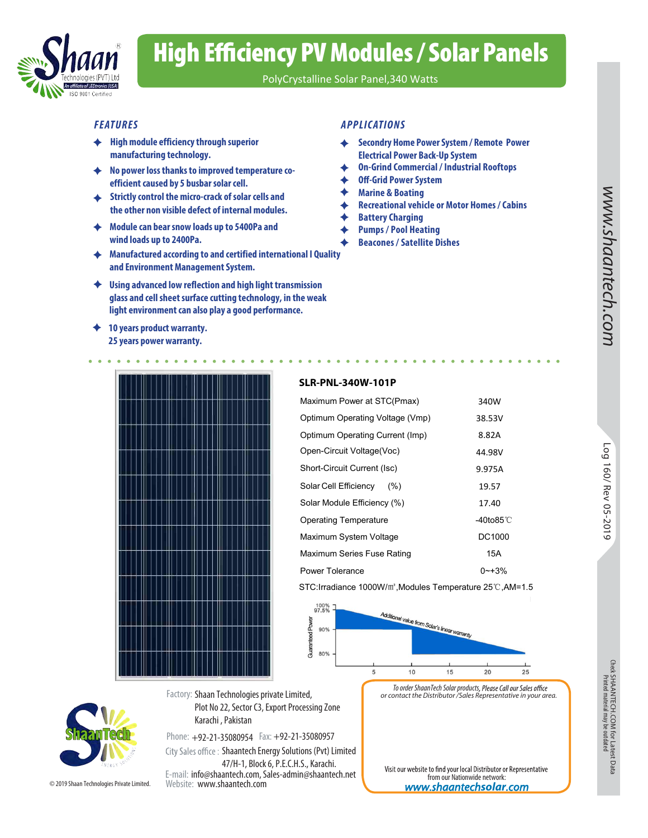

# High Efficiency PV Modules / Solar Panels

PolyCrystalline Solar Panel,340 Watts

- **High module efficiency through superior manufacturing technology.**
- **No power loss thanks to improved temperature coefficient caused by 5 busbar solar cell.**
- **Strictly control the micro-crack of solar cells and the other non visible defect of internal modules.**
- **Module can bear snow loads up to 5400Pa and wind loads up to 2400Pa.**
- **Manufactured according to and certified international I Quality and Environment Management System.**
- **Using advanced low reflection and high light transmission glass and cell sheet surface cutting technology, in the weak light environment can also play a good performance.**
- **10 years product warranty. 25 years power warranty.**

### *FEATURES APPLICATIONS*

- **Secondry Home Power System / Remote Power**  ♦ **Electrical Power Back-Up System**
- **On-Grind Commercial / Industrial Rooftops**
- **Off-Grid Power System**
- **Marine & Boating**
- **Recreational vehicle or Motor Homes / Cabins**
- **Battery Charging** ♦
- **Pumps / Pool Heating** 
	- **Beacones / Satellite Dishes**



### **SLR-PNL-340W-101P**

| iission<br>ıe weak                                                      |              |                      |
|-------------------------------------------------------------------------|--------------|----------------------|
|                                                                         |              | tech.com             |
|                                                                         |              |                      |
| <b>SLR-PNL-340W-101P</b>                                                |              |                      |
| Maximum Power at STC(Pmax)                                              | 340W         |                      |
| Optimum Operating Voltage (Vmp)                                         | 38.53V       |                      |
| Optimum Operating Current (Imp)                                         | 8.82A        |                      |
| Open-Circuit Voltage(Voc)                                               | 44.98V       |                      |
| Short-Circuit Current (Isc)                                             | 9.975A       |                      |
| Solar Cell Efficiency<br>(% )                                           | 19.57        |                      |
| Solar Module Efficiency (%)                                             | 17.40        | Log 160/ Rev 05-2019 |
| <b>Operating Temperature</b>                                            | -40to85 $°C$ |                      |
| Maximum System Voltage                                                  | DC1000       |                      |
| Maximum Series Fuse Rating                                              | <b>15A</b>   |                      |
| Power Tolerance                                                         | $0 - +3%$    |                      |
| STC: Irradiance 1000W/m <sup>2</sup> , Modules Temperature 25℃, AM=1.5  |              |                      |
| 100%<br>97.5%<br>Additional value from Solar's lineary.<br>Power<br>90% |              |                      |



*To order ShaanTech Solar products or contact the Distributor /Sales Representative in your area.*

Phone: +92-21-35080954 Fax: +92-21-35080957 E-mail: info@shaantech.com, Sales-admin@shaantech.net Website: www.shaantech.com City Sales office: Shaantech Energy Solutions (Pvt) Limited 47/H-1, Block 6, P.E.C.H.S., Karachi.

Karachi , Pakistan

Plot No 22, Sector C3, Export Processing Zone

© 2019 Shaan Technologies Private Limited.